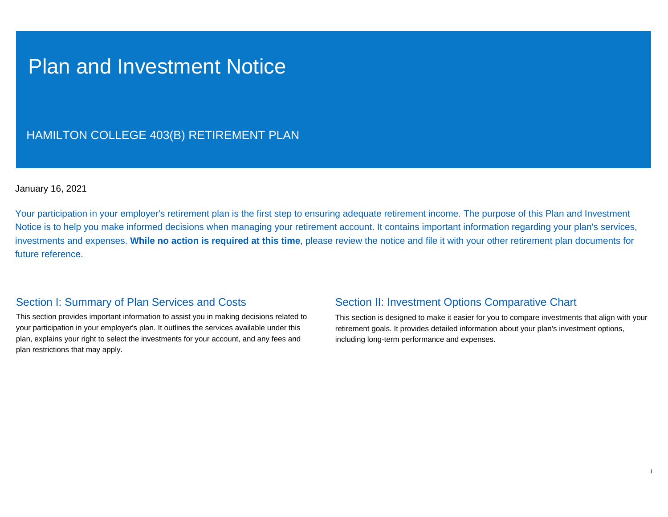## Plan and Investment Notice

## HAMILTON COLLEGE 403(B) RETIREMENT PLAN

## January 16, 2021

Your participation in your employer's retirement plan is the first step to ensuring adequate retirement income. The purpose of this Plan and Investment Notice is to help you make informed decisions when managing your retirement account. It contains important information regarding your plan's services, investments and expenses. **While no action is required at this time**, please review the notice and file it with your other retirement plan documents for future reference.

## Section I: Summary of Plan Services and Costs

This section provides important information to assist you in making decisions related to your participation in your employer's plan. It outlines the services available under this plan, explains your right to select the investments for your account, and any fees and plan restrictions that may apply.

## Section II: Investment Options Comparative Chart

This section is designed to make it easier for you to compare investments that align with your retirement goals. It provides detailed information about your plan's investment options, including long-term performance and expenses.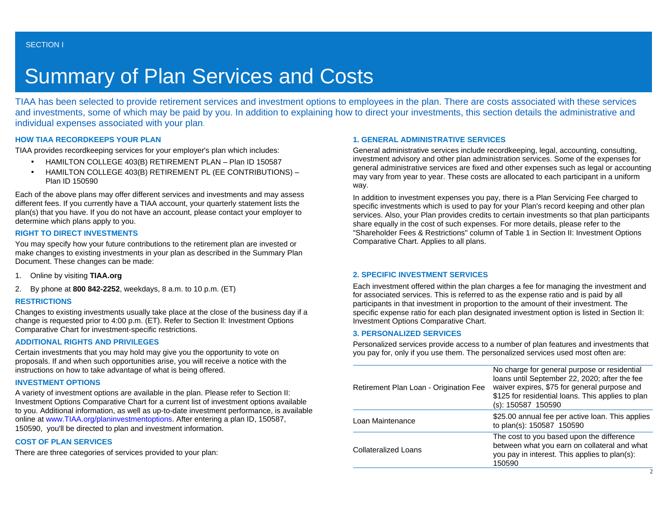# Summary of Plan Services and Costs

TIAA has been selected to provide retirement services and investment options to employees in the plan. There are costs associated with these services and investments, some of which may be paid by you. In addition to explaining how to direct your investments, this section details the administrative and individual expenses associated with your plan.

## **HOW TIAA RECORDKEEPS YOUR PLAN**

TIAA provides recordkeeping services for your employer's plan which includes:

- HAMILTON COLLEGE 403(B) RETIREMENT PLAN Plan ID 150587
- HAMILTON COLLEGE 403(B) RETIREMENT PL (EE CONTRIBUTIONS) Plan ID 150590

Each of the above plans may offer different services and investments and may assess different fees. If you currently have a TIAA account, your quarterly statement lists the plan(s) that you have. If you do not have an account, please contact your employer to determine which plans apply to you.

### **RIGHT TO DIRECT INVESTMENTS**

You may specify how your future contributions to the retirement plan are invested or make changes to existing investments in your plan as described in the Summary Plan Document. These changes can be made:

- 1. Online by visiting **TIAA.org**
- 2. By phone at **800 842-2252**, weekdays, 8 a.m. to 10 p.m. (ET)

### **RESTRICTIONS**

Changes to existing investments usually take place at the close of the business day if a change is requested prior to 4:00 p.m. (ET). Refer to Section ll: Investment Options Comparative Chart for investment-specific restrictions.

## **ADDITIONAL RIGHTS AND PRIVILEGES**

Certain investments that you may hold may give you the opportunity to vote on proposals. If and when such opportunities arise, you will receive a notice with the instructions on how to take advantage of what is being offered.

### **INVESTMENT OPTIONS**

A variety of investment options are available in the plan. Please refer to Section II: Investment Options Comparative Chart for a current list of investment options available to you. Additional information, as well as up-to-date investment performance, is available online at [www.TIAA.org/planinvestmentoptions](http://www.tiaa-cref.org/planinvestmentoptions). After entering a plan ID, 150587, 150590, you'll be directed to plan and investment information.

### **COST OF PLAN SERVICES**

There are three categories of services provided to your plan:

## **1. GENERAL ADMINISTRATIVE SERVICES**

General administrative services include recordkeeping, legal, accounting, consulting, investment advisory and other plan administration services. Some of the expenses for general administrative services are fixed and other expenses such as legal or accounting may vary from year to year. These costs are allocated to each participant in a uniform way.

In addition to investment expenses you pay, there is a Plan Servicing Fee charged to specific investments which is used to pay for your Plan's record keeping and other plan services. Also, your Plan provides credits to certain investments so that plan participants share equally in the cost of such expenses. For more details, please refer to the "Shareholder Fees & Restrictions" column of Table 1 in Section II: Investment Options Comparative Chart. Applies to all plans.

### **2. SPECIFIC INVESTMENT SERVICES**

Each investment offered within the plan charges a fee for managing the investment and for associated services. This is referred to as the expense ratio and is paid by all participants in that investment in proportion to the amount of their investment. The specific expense ratio for each plan designated investment option is listed in Section II: Investment Options Comparative Chart.

### **3. PERSONALIZED SERVICES**

Personalized services provide access to a number of plan features and investments that you pay for, only if you use them. The personalized services used most often are:

| <b>Collateralized Loans</b>            | The cost to you based upon the difference<br>between what you earn on collateral and what<br>you pay in interest. This applies to plan(s):<br>150590                                                                     |
|----------------------------------------|--------------------------------------------------------------------------------------------------------------------------------------------------------------------------------------------------------------------------|
| Loan Maintenance                       | \$25.00 annual fee per active loan. This applies<br>to plan(s): 150587 150590                                                                                                                                            |
| Retirement Plan Loan - Origination Fee | No charge for general purpose or residential<br>loans until September 22, 2020; after the fee<br>waiver expires, \$75 for general purpose and<br>\$125 for residential loans. This applies to plan<br>(s): 150587 150590 |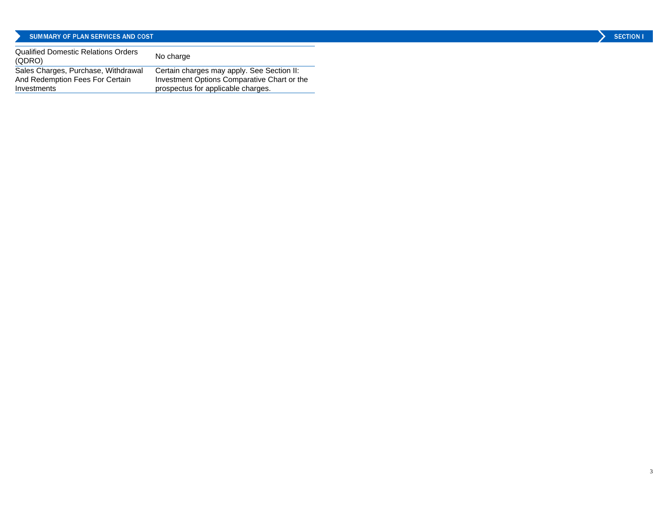## SUMMARY OF PLAN SERVICES AND COST

| <b>SECTION</b> |  |
|----------------|--|
|                |  |

| Qualified Domestic Relations Orders<br>(QDRO)                                         | No charge                                                                                                                       |
|---------------------------------------------------------------------------------------|---------------------------------------------------------------------------------------------------------------------------------|
| Sales Charges, Purchase, Withdrawal<br>And Redemption Fees For Certain<br>Investments | Certain charges may apply. See Section II:<br>Investment Options Comparative Chart or the<br>prospectus for applicable charges. |
|                                                                                       |                                                                                                                                 |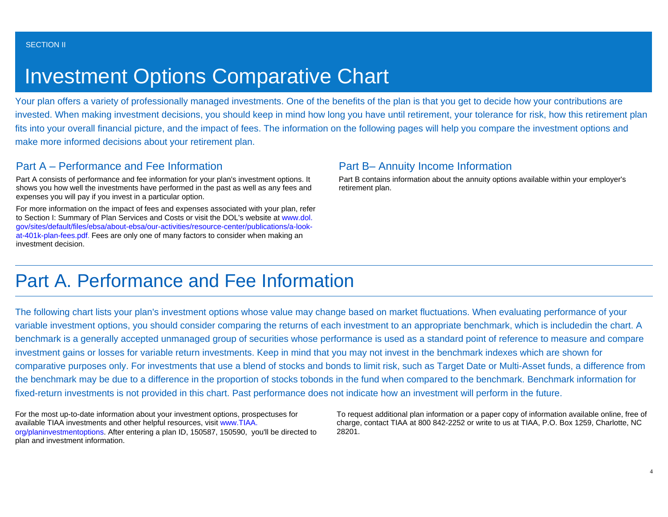# Investment Options Comparative Chart

Your plan offers a variety of professionally managed investments. One of the benefits of the plan is that you get to decide how your contributions are invested. When making investment decisions, you should keep in mind how long you have until retirement, your tolerance for risk, how this retirement plan fits into your overall financial picture, and the impact of fees. The information on the following pages will help you compare the investment options and make more informed decisions about your retirement plan.

## Part A – Performance and Fee Information

Part A consists of performance and fee information for your plan's investment options. It shows you how well the investments have performed in the past as well as any fees and expenses you will pay if you invest in a particular option.

For more information on the impact of fees and expenses associated with your plan, refer to Section I: Summary of Plan Services and Costs or visit the DOL's website at [www.dol.](http://www.dol.gov/sites/default/files/ebsa/about-ebsa/our-activities/resource-center/publications/a-look-at-401k-plan-fees.pdf) [gov/sites/default/files/ebsa/about-ebsa/our-activities/resource-center/publications/a-look](http://www.dol.gov/sites/default/files/ebsa/about-ebsa/our-activities/resource-center/publications/a-look-at-401k-plan-fees.pdf)[at-401k-plan-fees.pdf](http://www.dol.gov/sites/default/files/ebsa/about-ebsa/our-activities/resource-center/publications/a-look-at-401k-plan-fees.pdf). Fees are only one of many factors to consider when making an investment decision.

## Part B– Annuity Income Information

Part B contains information about the annuity options available within your employer's retirement plan.

## Part A. Performance and Fee Information

The following chart lists your plan's investment options whose value may change based on market fluctuations. When evaluating performance of your variable investment options, you should consider comparing the returns of each investment to an appropriate benchmark, which is includedin the chart. A benchmark is a generally accepted unmanaged group of securities whose performance is used as a standard point of reference to measure and compare investment gains or losses for variable return investments. Keep in mind that you may not invest in the benchmark indexes which are shown for comparative purposes only. For investments that use a blend of stocks and bonds to limit risk, such as Target Date or Multi-Asset funds, a difference from the benchmark may be due to a difference in the proportion of stocks tobonds in the fund when compared to the benchmark. Benchmark information for fixed-return investments is not provided in this chart. Past performance does not indicate how an investment will perform in the future.

For the most up-to-date information about your investment options, prospectuses for available TIAA investments and other helpful resources, visit [www.TIAA.](http://www.tiaa-cref.org/planinvestmentoptions) [org/planinvestmentoptions](http://www.tiaa-cref.org/planinvestmentoptions). After entering a plan ID, 150587, 150590, you'll be directed to plan and investment information.

To request additional plan information or a paper copy of information available online, free of charge, contact TIAA at 800 842-2252 or write to us at TIAA, P.O. Box 1259, Charlotte, NC 28201.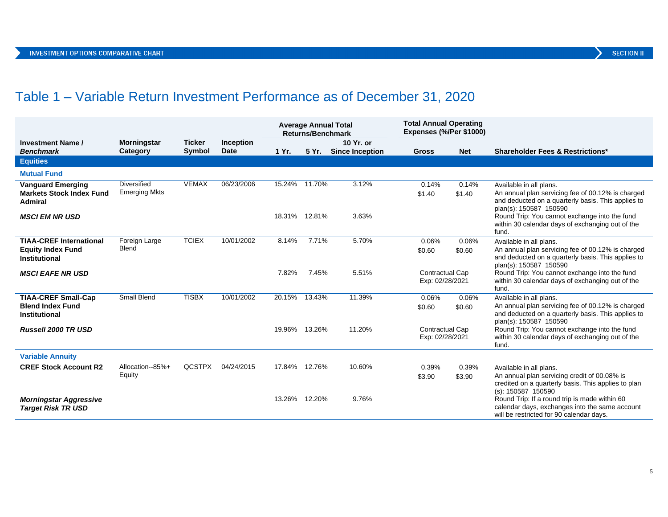## Table 1 – Variable Return Investment Performance as of December 31, 2020

|                                                                               |                                     |                         |                                 | <b>Average Annual Total</b><br><b>Returns/Benchmark</b> |               | <b>Total Annual Operating</b><br>Expenses (%/Per \$1000) |                                    |                 |                                                                                                                                                              |
|-------------------------------------------------------------------------------|-------------------------------------|-------------------------|---------------------------------|---------------------------------------------------------|---------------|----------------------------------------------------------|------------------------------------|-----------------|--------------------------------------------------------------------------------------------------------------------------------------------------------------|
| <b>Investment Name /</b><br><b>Benchmark</b>                                  | <b>Morningstar</b><br>Category      | <b>Ticker</b><br>Symbol | <b>Inception</b><br><b>Date</b> | 1 Yr.                                                   | 5 Yr.         | 10 Yr. or<br><b>Since Inception</b>                      | <b>Gross</b>                       | <b>Net</b>      | <b>Shareholder Fees &amp; Restrictions*</b>                                                                                                                  |
| <b>Equities</b>                                                               |                                     |                         |                                 |                                                         |               |                                                          |                                    |                 |                                                                                                                                                              |
| <b>Mutual Fund</b>                                                            |                                     |                         |                                 |                                                         |               |                                                          |                                    |                 |                                                                                                                                                              |
| <b>Vanguard Emerging</b><br><b>Markets Stock Index Fund</b><br>Admiral        | Diversified<br><b>Emerging Mkts</b> | <b>VEMAX</b>            | 06/23/2006                      |                                                         | 15.24% 11.70% | 3.12%                                                    | 0.14%<br>\$1.40                    | 0.14%<br>\$1.40 | Available in all plans.<br>An annual plan servicing fee of 00.12% is charged<br>and deducted on a quarterly basis. This applies to<br>plan(s): 150587 150590 |
| <b>MSCI EM NR USD</b>                                                         |                                     |                         |                                 | 18.31% 12.81%                                           |               | 3.63%                                                    |                                    |                 | Round Trip: You cannot exchange into the fund<br>within 30 calendar days of exchanging out of the<br>fund.                                                   |
| <b>TIAA-CREF International</b><br><b>Equity Index Fund</b><br>Institutional   | Foreign Large<br>Blend              | <b>TCIEX</b>            | 10/01/2002                      | 8.14%                                                   | 7.71%         | 5.70%                                                    | 0.06%<br>\$0.60                    | 0.06%<br>\$0.60 | Available in all plans.<br>An annual plan servicing fee of 00.12% is charged<br>and deducted on a quarterly basis. This applies to<br>plan(s): 150587 150590 |
| <b>MSCI EAFE NR USD</b>                                                       |                                     |                         |                                 | 7.82%                                                   | 7.45%         | 5.51%                                                    | Contractual Cap<br>Exp: 02/28/2021 |                 | Round Trip: You cannot exchange into the fund<br>within 30 calendar days of exchanging out of the<br>fund.                                                   |
| <b>TIAA-CREF Small-Cap</b><br><b>Blend Index Fund</b><br><b>Institutional</b> | <b>Small Blend</b>                  | <b>TISBX</b>            | 10/01/2002                      | 20.15%                                                  | 13.43%        | 11.39%                                                   | 0.06%<br>\$0.60                    | 0.06%<br>\$0.60 | Available in all plans.<br>An annual plan servicing fee of 00.12% is charged<br>and deducted on a quarterly basis. This applies to<br>plan(s): 150587 150590 |
| <b>Russell 2000 TR USD</b>                                                    |                                     |                         |                                 | 19.96% 13.26%                                           |               | 11.20%                                                   | Contractual Cap<br>Exp: 02/28/2021 |                 | Round Trip: You cannot exchange into the fund<br>within 30 calendar days of exchanging out of the<br>fund.                                                   |
| <b>Variable Annuity</b>                                                       |                                     |                         |                                 |                                                         |               |                                                          |                                    |                 |                                                                                                                                                              |
| <b>CREF Stock Account R2</b>                                                  | Allocation--85%+<br>Equity          | <b>QCSTPX</b>           | 04/24/2015                      | 17.84%                                                  | 12.76%        | 10.60%                                                   | 0.39%<br>\$3.90                    | 0.39%<br>\$3.90 | Available in all plans.<br>An annual plan servicing credit of 00.08% is<br>credited on a quarterly basis. This applies to plan<br>(s): 150587 150590         |
| <b>Morningstar Aggressive</b><br><b>Target Risk TR USD</b>                    |                                     |                         |                                 |                                                         | 13.26% 12.20% | 9.76%                                                    |                                    |                 | Round Trip: If a round trip is made within 60<br>calendar days, exchanges into the same account<br>will be restricted for 90 calendar days.                  |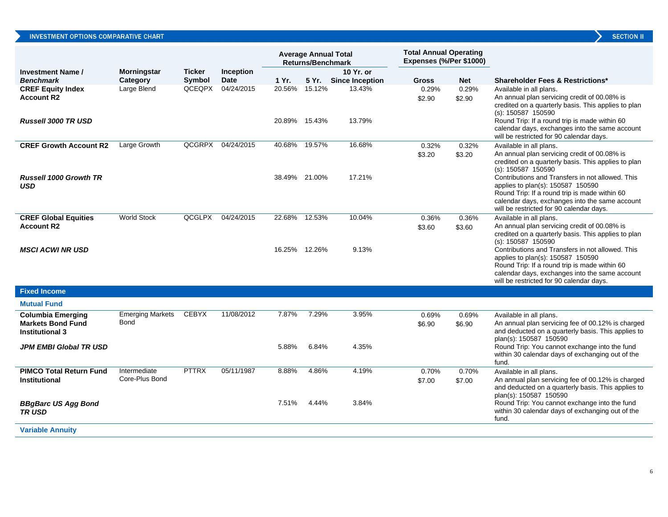| <b>SECTION</b> |  |
|----------------|--|
|                |  |
|                |  |

|                                                    |                                |                         |                          |        | <b>Average Annual Total</b><br><b>Returns/Benchmark</b> |                                    | <b>Total Annual Operating</b><br>Expenses (%/Per \$1000) |                 |                                                                                                                                                                                                                                                                                                                          |
|----------------------------------------------------|--------------------------------|-------------------------|--------------------------|--------|---------------------------------------------------------|------------------------------------|----------------------------------------------------------|-----------------|--------------------------------------------------------------------------------------------------------------------------------------------------------------------------------------------------------------------------------------------------------------------------------------------------------------------------|
| <b>Investment Name /</b><br><b>Benchmark</b>       | <b>Morningstar</b><br>Category | <b>Ticker</b><br>Symbol | Inception<br><b>Date</b> | 1 Yr.  |                                                         | 10 Yr. or<br>5 Yr. Since Inception | <b>Gross</b>                                             | <b>Net</b>      | <b>Shareholder Fees &amp; Restrictions*</b>                                                                                                                                                                                                                                                                              |
| <b>CREF Equity Index</b>                           | Large Blend                    |                         | QCEQPX 04/24/2015        |        | 20.56% 15.12%                                           | 13.43%                             | 0.29%                                                    | 0.29%           | Available in all plans.                                                                                                                                                                                                                                                                                                  |
| <b>Account R2</b><br><b>Russell 3000 TR USD</b>    |                                |                         |                          |        | 20.89% 15.43%                                           | 13.79%                             | \$2.90                                                   | \$2.90          | An annual plan servicing credit of 00.08% is<br>credited on a quarterly basis. This applies to plan<br>(s): 150587 150590<br>Round Trip: If a round trip is made within 60<br>calendar days, exchanges into the same account<br>will be restricted for 90 calendar days.                                                 |
| <b>CREF Growth Account R2</b>                      | Large Growth                   |                         | QCGRPX 04/24/2015        | 40.68% | 19.57%                                                  | 16.68%                             | 0.32%                                                    | 0.32%           | Available in all plans.                                                                                                                                                                                                                                                                                                  |
| <b>Russell 1000 Growth TR</b><br><b>USD</b>        |                                |                         |                          |        | 38.49% 21.00%                                           | 17.21%                             | \$3.20                                                   | \$3.20          | An annual plan servicing credit of 00.08% is<br>credited on a quarterly basis. This applies to plan<br>$(s)$ : 150587 150590<br>Contributions and Transfers in not allowed. This<br>applies to plan(s): 150587 150590<br>Round Trip: If a round trip is made within 60<br>calendar days, exchanges into the same account |
|                                                    |                                |                         |                          |        |                                                         |                                    |                                                          |                 | will be restricted for 90 calendar days.                                                                                                                                                                                                                                                                                 |
| <b>CREF Global Equities</b><br><b>Account R2</b>   | <b>World Stock</b>             | QCGLPX                  | 04/24/2015               | 22.68% | 12.53%                                                  | 10.04%                             | 0.36%<br>\$3.60                                          | 0.36%<br>\$3.60 | Available in all plans.<br>An annual plan servicing credit of 00.08% is<br>credited on a quarterly basis. This applies to plan<br>$(s)$ : 150587 150590                                                                                                                                                                  |
| <b>MSCI ACWI NR USD</b>                            |                                |                         |                          |        | 16.25% 12.26%                                           | 9.13%                              |                                                          |                 | Contributions and Transfers in not allowed. This<br>applies to plan(s): 150587 150590<br>Round Trip: If a round trip is made within 60<br>calendar days, exchanges into the same account<br>will be restricted for 90 calendar days.                                                                                     |
| <b>Fixed Income</b>                                |                                |                         |                          |        |                                                         |                                    |                                                          |                 |                                                                                                                                                                                                                                                                                                                          |
| <b>Mutual Fund</b>                                 |                                |                         |                          |        |                                                         |                                    |                                                          |                 |                                                                                                                                                                                                                                                                                                                          |
| <b>Columbia Emerging</b>                           | <b>Emerging Markets</b>        | <b>CEBYX</b>            | 11/08/2012               | 7.87%  | 7.29%                                                   | 3.95%                              | 0.69%                                                    | 0.69%           | Available in all plans.                                                                                                                                                                                                                                                                                                  |
| <b>Markets Bond Fund</b><br><b>Institutional 3</b> | <b>Bond</b>                    |                         |                          |        |                                                         |                                    | \$6.90                                                   | \$6.90          | An annual plan servicing fee of 00.12% is charged<br>and deducted on a quarterly basis. This applies to<br>plan(s): 150587 150590                                                                                                                                                                                        |
| <b>JPM EMBI Global TR USD</b>                      |                                |                         |                          | 5.88%  | 6.84%                                                   | 4.35%                              |                                                          |                 | Round Trip: You cannot exchange into the fund<br>within 30 calendar days of exchanging out of the<br>fund.                                                                                                                                                                                                               |
| <b>PIMCO Total Return Fund</b>                     | Intermediate                   | <b>PTTRX</b>            | 05/11/1987               | 8.88%  | 4.86%                                                   | 4.19%                              | 0.70%                                                    | 0.70%           | Available in all plans.                                                                                                                                                                                                                                                                                                  |
| <b>Institutional</b>                               | Core-Plus Bond                 |                         |                          |        |                                                         |                                    | \$7.00                                                   | \$7.00          | An annual plan servicing fee of 00.12% is charged<br>and deducted on a quarterly basis. This applies to<br>plan(s): 150587 150590                                                                                                                                                                                        |
| <b>BBgBarc US Agg Bond</b><br><b>TRUSD</b>         |                                |                         |                          | 7.51%  | 4.44%                                                   | 3.84%                              |                                                          |                 | Round Trip: You cannot exchange into the fund<br>within 30 calendar days of exchanging out of the<br>fund.                                                                                                                                                                                                               |
| <b>Variable Annuity</b>                            |                                |                         |                          |        |                                                         |                                    |                                                          |                 |                                                                                                                                                                                                                                                                                                                          |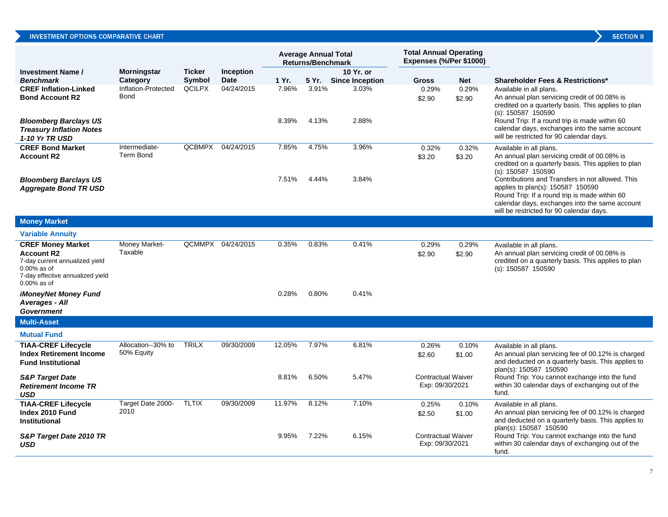## INVESTMENT OPTIONS COMPARATIVE CHART

|                                                                                                                                                      |                                   |               |                   |                | <b>Average Annual Total</b><br><b>Returns/Benchmark</b> |                        | <b>Total Annual Operating</b><br>Expenses (%/Per \$1000) |                 |                                                                                                                                                                                                                                                                                                        |
|------------------------------------------------------------------------------------------------------------------------------------------------------|-----------------------------------|---------------|-------------------|----------------|---------------------------------------------------------|------------------------|----------------------------------------------------------|-----------------|--------------------------------------------------------------------------------------------------------------------------------------------------------------------------------------------------------------------------------------------------------------------------------------------------------|
| <b>Investment Name /</b>                                                                                                                             | <b>Morningstar</b>                | <b>Ticker</b> | <b>Inception</b>  |                |                                                         | 10 Yr. or              |                                                          |                 |                                                                                                                                                                                                                                                                                                        |
| <b>Benchmark</b>                                                                                                                                     | Category                          | Symbol        | Date              | 1 Yr.          | 5 Yr.                                                   | <b>Since Inception</b> | <b>Gross</b>                                             | <b>Net</b>      | <b>Shareholder Fees &amp; Restrictions*</b>                                                                                                                                                                                                                                                            |
| <b>CREF Inflation-Linked</b><br><b>Bond Account R2</b><br><b>Bloomberg Barclays US</b><br><b>Treasury Inflation Notes</b><br><b>1-10 Yr TR USD</b>   | Inflation-Protected<br>Bond       | <b>QCILPX</b> | 04/24/2015        | 7.96%<br>8.39% | 3.91%<br>4.13%                                          | 3.03%<br>2.88%         | 0.29%<br>\$2.90                                          | 0.29%<br>\$2.90 | Available in all plans.<br>An annual plan servicing credit of 00.08% is<br>credited on a quarterly basis. This applies to plan<br>$(s)$ : 150587 150590<br>Round Trip: If a round trip is made within 60<br>calendar days, exchanges into the same account<br>will be restricted for 90 calendar days. |
| <b>CREF Bond Market</b><br><b>Account R2</b><br><b>Bloomberg Barclays US</b>                                                                         | Intermediate-<br><b>Term Bond</b> |               | QCBMPX 04/24/2015 | 7.85%<br>7.51% | 4.75%<br>4.44%                                          | 3.96%<br>3.84%         | 0.32%<br>\$3.20                                          | 0.32%<br>\$3.20 | Available in all plans.<br>An annual plan servicing credit of 00.08% is<br>credited on a quarterly basis. This applies to plan<br>$(s)$ : 150587 150590<br>Contributions and Transfers in not allowed. This                                                                                            |
| <b>Aggregate Bond TR USD</b>                                                                                                                         |                                   |               |                   |                |                                                         |                        |                                                          |                 | applies to plan(s): 150587 150590<br>Round Trip: If a round trip is made within 60<br>calendar days, exchanges into the same account<br>will be restricted for 90 calendar days.                                                                                                                       |
| <b>Money Market</b>                                                                                                                                  |                                   |               |                   |                |                                                         |                        |                                                          |                 |                                                                                                                                                                                                                                                                                                        |
| <b>Variable Annuity</b>                                                                                                                              |                                   |               |                   |                |                                                         |                        |                                                          |                 |                                                                                                                                                                                                                                                                                                        |
| <b>CREF Money Market</b><br><b>Account R2</b><br>7-day current annualized yield<br>$0.00\%$ as of<br>7-day effective annualized yield<br>0.00% as of | Money Market-<br>Taxable          |               | QCMMPX 04/24/2015 | 0.35%          | 0.83%                                                   | 0.41%                  | 0.29%<br>\$2.90                                          | 0.29%<br>\$2.90 | Available in all plans.<br>An annual plan servicing credit of 00.08% is<br>credited on a quarterly basis. This applies to plan<br>$(s)$ : 150587 150590                                                                                                                                                |
| <b>iMoneyNet Money Fund</b><br><b>Averages - All</b><br><b>Government</b>                                                                            |                                   |               |                   | 0.28%          | 0.80%                                                   | 0.41%                  |                                                          |                 |                                                                                                                                                                                                                                                                                                        |
| <b>Multi-Asset</b>                                                                                                                                   |                                   |               |                   |                |                                                         |                        |                                                          |                 |                                                                                                                                                                                                                                                                                                        |
| <b>Mutual Fund</b>                                                                                                                                   |                                   |               |                   |                |                                                         |                        |                                                          |                 |                                                                                                                                                                                                                                                                                                        |
| <b>TIAA-CREF Lifecycle</b><br><b>Index Retirement Income</b><br><b>Fund Institutional</b>                                                            | Allocation--30% to<br>50% Equity  | <b>TRILX</b>  | 09/30/2009        | 12.05%         | 7.97%                                                   | 6.81%                  | 0.26%<br>\$2.60                                          | 0.10%<br>\$1.00 | Available in all plans.<br>An annual plan servicing fee of 00.12% is charged<br>and deducted on a quarterly basis. This applies to<br>plan(s): 150587 150590                                                                                                                                           |
| <b>S&amp;P Target Date</b><br><b>Retirement Income TR</b><br><b>USD</b>                                                                              |                                   |               |                   | 8.81%          | 6.50%                                                   | 5.47%                  | Contractual Waiver<br>Exp: 09/30/2021                    |                 | Round Trip: You cannot exchange into the fund<br>within 30 calendar days of exchanging out of the<br>fund.                                                                                                                                                                                             |
| <b>TIAA-CREF Lifecycle</b><br>Index 2010 Fund<br><b>Institutional</b>                                                                                | Target Date 2000-<br>2010         | <b>TLTIX</b>  | 09/30/2009        | 11.97%         | 8.12%                                                   | 7.10%                  | 0.25%<br>\$2.50                                          | 0.10%<br>\$1.00 | Available in all plans.<br>An annual plan servicing fee of 00.12% is charged<br>and deducted on a quarterly basis. This applies to<br>plan(s): 150587 150590                                                                                                                                           |
| S&P Target Date 2010 TR<br><b>USD</b>                                                                                                                |                                   |               |                   | 9.95%          | 7.22%                                                   | 6.15%                  | Contractual Waiver<br>Exp: 09/30/2021                    |                 | Round Trip: You cannot exchange into the fund<br>within 30 calendar days of exchanging out of the                                                                                                                                                                                                      |

7

fund.

**SECTION II**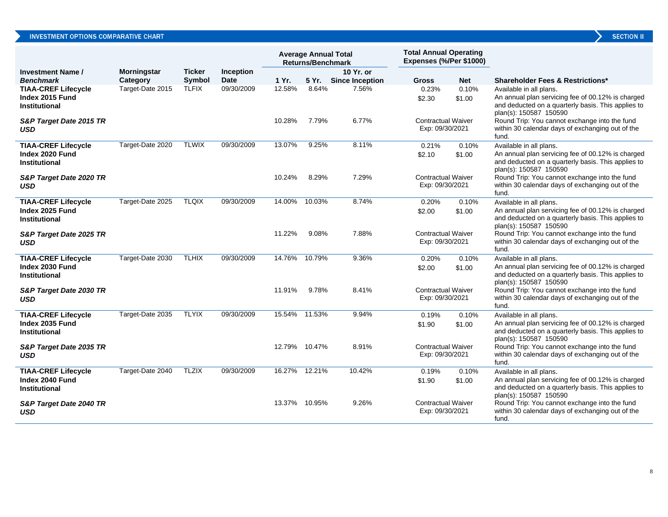| <b>SECTION</b> |  |  |  |
|----------------|--|--|--|
|                |  |  |  |

|                                                                           |                    |               |             | <b>Average Annual Total</b><br><b>Returns/Benchmark</b> |               | <b>Total Annual Operating</b><br>Expenses (%/Per \$1000) |                                                        |                 |                                                                                                                                                                                                                                                 |
|---------------------------------------------------------------------------|--------------------|---------------|-------------|---------------------------------------------------------|---------------|----------------------------------------------------------|--------------------------------------------------------|-----------------|-------------------------------------------------------------------------------------------------------------------------------------------------------------------------------------------------------------------------------------------------|
| <b>Investment Name /</b>                                                  | <b>Morningstar</b> | <b>Ticker</b> | Inception   |                                                         |               | 10 Yr. or                                                |                                                        |                 |                                                                                                                                                                                                                                                 |
| <b>Benchmark</b>                                                          | Category           | Symbol        | <b>Date</b> | 1 Yr.                                                   | 5 Yr.         | <b>Since Inception</b>                                   | <b>Gross</b>                                           | <b>Net</b>      | <b>Shareholder Fees &amp; Restrictions*</b>                                                                                                                                                                                                     |
| <b>TIAA-CREF Lifecycle</b><br>Index 2015 Fund<br><b>Institutional</b>     | Target-Date 2015   | <b>TLFIX</b>  | 09/30/2009  | 12.58%                                                  | 8.64%         | 7.56%                                                    | 0.23%<br>\$2.30                                        | 0.10%<br>\$1.00 | Available in all plans.<br>An annual plan servicing fee of 00.12% is charged<br>and deducted on a quarterly basis. This applies to<br>plan(s): 150587 150590                                                                                    |
| S&P Target Date 2015 TR<br>USD                                            |                    |               |             | 10.28%                                                  | 7.79%         | 6.77%                                                    | <b>Contractual Waiver</b><br>Exp: 09/30/2021           |                 | Round Trip: You cannot exchange into the fund<br>within 30 calendar days of exchanging out of the<br>fund.                                                                                                                                      |
| <b>TIAA-CREF Lifecycle</b>                                                | Target-Date 2020   | <b>TLWIX</b>  | 09/30/2009  | 13.07%                                                  | 9.25%         | 8.11%                                                    | 0.21%                                                  | 0.10%           | Available in all plans.                                                                                                                                                                                                                         |
| Index 2020 Fund<br><b>Institutional</b><br>S&P Target Date 2020 TR<br>USD |                    |               |             | 10.24%                                                  | 8.29%         | 7.29%                                                    | \$2.10<br><b>Contractual Waiver</b><br>Exp: 09/30/2021 | \$1.00          | An annual plan servicing fee of 00.12% is charged<br>and deducted on a quarterly basis. This applies to<br>plan(s): 150587 150590<br>Round Trip: You cannot exchange into the fund<br>within 30 calendar days of exchanging out of the<br>fund. |
| <b>TIAA-CREF Lifecycle</b>                                                | Target-Date 2025   | <b>TLQIX</b>  | 09/30/2009  | 14.00%                                                  | 10.03%        | 8.74%                                                    | 0.20%                                                  | 0.10%           | Available in all plans.                                                                                                                                                                                                                         |
| Index 2025 Fund<br><b>Institutional</b>                                   |                    |               |             |                                                         |               |                                                          | \$2.00                                                 | \$1.00          | An annual plan servicing fee of 00.12% is charged<br>and deducted on a quarterly basis. This applies to<br>plan(s): 150587 150590                                                                                                               |
| S&P Target Date 2025 TR<br>USD                                            |                    |               |             | 11.22%                                                  | 9.08%         | 7.88%                                                    | <b>Contractual Waiver</b><br>Exp: 09/30/2021           |                 | Round Trip: You cannot exchange into the fund<br>within 30 calendar days of exchanging out of the<br>fund.                                                                                                                                      |
| <b>TIAA-CREF Lifecycle</b><br>Index 2030 Fund<br><b>Institutional</b>     | Target-Date 2030   | <b>TLHIX</b>  | 09/30/2009  | 14.76%                                                  | 10.79%        | 9.36%                                                    | 0.20%<br>\$2.00                                        | 0.10%<br>\$1.00 | Available in all plans.<br>An annual plan servicing fee of 00.12% is charged<br>and deducted on a quarterly basis. This applies to<br>plan(s): 150587 150590                                                                                    |
| S&P Target Date 2030 TR<br><b>USD</b>                                     |                    |               |             | 11.91%                                                  | 9.78%         | 8.41%                                                    | <b>Contractual Waiver</b><br>Exp: 09/30/2021           |                 | Round Trip: You cannot exchange into the fund<br>within 30 calendar days of exchanging out of the<br>fund.                                                                                                                                      |
| <b>TIAA-CREF Lifecycle</b>                                                | Target-Date 2035   | <b>TLYIX</b>  | 09/30/2009  |                                                         | 15.54% 11.53% | 9.94%                                                    | 0.19%                                                  | 0.10%           | Available in all plans.                                                                                                                                                                                                                         |
| Index 2035 Fund<br><b>Institutional</b>                                   |                    |               |             |                                                         |               |                                                          | \$1.90                                                 | \$1.00          | An annual plan servicing fee of 00.12% is charged<br>and deducted on a quarterly basis. This applies to<br>plan(s): 150587 150590                                                                                                               |
| S&P Target Date 2035 TR<br><b>USD</b>                                     |                    |               |             | 12.79% 10.47%                                           |               | 8.91%                                                    | <b>Contractual Waiver</b><br>Exp: 09/30/2021           |                 | Round Trip: You cannot exchange into the fund<br>within 30 calendar days of exchanging out of the<br>fund.                                                                                                                                      |
| <b>TIAA-CREF Lifecycle</b><br>Index 2040 Fund<br><b>Institutional</b>     | Target-Date 2040   | <b>TLZIX</b>  | 09/30/2009  | 16.27%                                                  | 12.21%        | 10.42%                                                   | 0.19%<br>\$1.90                                        | 0.10%<br>\$1.00 | Available in all plans.<br>An annual plan servicing fee of 00.12% is charged<br>and deducted on a quarterly basis. This applies to<br>plan(s): 150587 150590                                                                                    |
| S&P Target Date 2040 TR<br>USD                                            |                    |               |             | 13.37%                                                  | 10.95%        | 9.26%                                                    | <b>Contractual Waiver</b><br>Exp: 09/30/2021           |                 | Round Trip: You cannot exchange into the fund<br>within 30 calendar days of exchanging out of the<br>fund.                                                                                                                                      |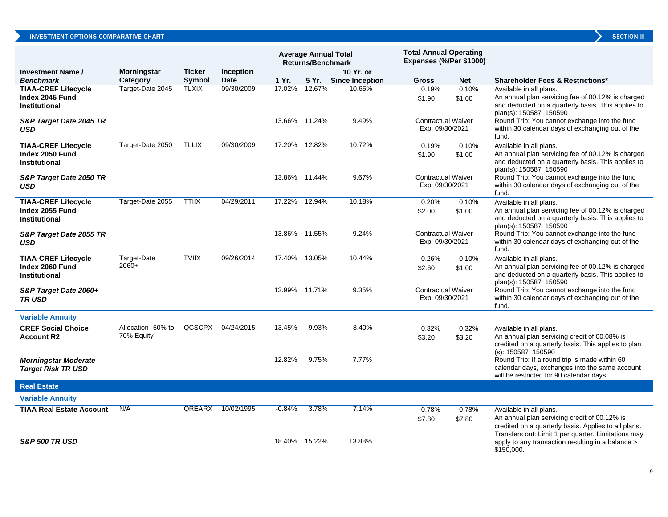|  | <b>SECTION I</b> |  |
|--|------------------|--|
|  |                  |  |
|  |                  |  |

|                                                                               |                                  |                        |                           |                  | <b>Average Annual Total</b><br><b>Returns/Benchmark</b> |                                  | <b>Total Annual Operating</b><br>Expenses (%/Per \$1000) |                     |                                                                                                                                                                                                       |
|-------------------------------------------------------------------------------|----------------------------------|------------------------|---------------------------|------------------|---------------------------------------------------------|----------------------------------|----------------------------------------------------------|---------------------|-------------------------------------------------------------------------------------------------------------------------------------------------------------------------------------------------------|
| <b>Investment Name /</b>                                                      | <b>Morningstar</b>               | <b>Ticker</b>          | Inception                 |                  |                                                         | 10 Yr. or                        |                                                          |                     |                                                                                                                                                                                                       |
| <b>Benchmark</b><br><b>TIAA-CREF Lifecycle</b>                                | Category<br>Target-Date 2045     | Symbol<br><b>TLXIX</b> | <b>Date</b><br>09/30/2009 | 1 Yr.<br>17.02%  | 5 Yr.<br>12.67%                                         | <b>Since Inception</b><br>10.65% | <b>Gross</b><br>0.19%                                    | <b>Net</b><br>0.10% | <b>Shareholder Fees &amp; Restrictions*</b>                                                                                                                                                           |
| Index 2045 Fund<br><b>Institutional</b>                                       |                                  |                        |                           |                  |                                                         |                                  | \$1.90                                                   | \$1.00              | Available in all plans.<br>An annual plan servicing fee of 00.12% is charged<br>and deducted on a quarterly basis. This applies to<br>plan(s): 150587 150590                                          |
| S&P Target Date 2045 TR<br><b>USD</b>                                         |                                  |                        |                           |                  | 13.66% 11.24%                                           | 9.49%                            | <b>Contractual Waiver</b><br>Exp: 09/30/2021             |                     | Round Trip: You cannot exchange into the fund<br>within 30 calendar days of exchanging out of the<br>fund.                                                                                            |
| <b>TIAA-CREF Lifecycle</b><br>Index 2050 Fund<br>Institutional                | Target-Date 2050                 | <b>TLLIX</b>           | 09/30/2009                | 17.20%           | 12.82%                                                  | 10.72%                           | 0.19%<br>\$1.90                                          | 0.10%<br>\$1.00     | Available in all plans.<br>An annual plan servicing fee of 00.12% is charged<br>and deducted on a quarterly basis. This applies to<br>plan(s): 150587 150590                                          |
| S&P Target Date 2050 TR<br>USD                                                |                                  |                        |                           |                  | 13.86% 11.44%                                           | 9.67%                            | <b>Contractual Waiver</b><br>Exp: 09/30/2021             |                     | Round Trip: You cannot exchange into the fund<br>within 30 calendar days of exchanging out of the<br>fund.                                                                                            |
| <b>TIAA-CREF Lifecycle</b><br>Index 2055 Fund<br><b>Institutional</b>         | Target-Date 2055                 | <b>TTIIX</b>           | 04/29/2011                | 17.22%           | 12.94%                                                  | 10.18%                           | 0.20%<br>\$2.00                                          | 0.10%<br>\$1.00     | Available in all plans.<br>An annual plan servicing fee of 00.12% is charged<br>and deducted on a quarterly basis. This applies to<br>plan(s): 150587 150590                                          |
| S&P Target Date 2055 TR<br>USD                                                |                                  |                        |                           |                  | 13.86% 11.55%                                           | 9.24%                            | <b>Contractual Waiver</b><br>Exp: 09/30/2021             |                     | Round Trip: You cannot exchange into the fund<br>within 30 calendar days of exchanging out of the<br>fund.                                                                                            |
| <b>TIAA-CREF Lifecycle</b><br>Index 2060 Fund<br><b>Institutional</b>         | Target-Date<br>2060+             | <b>TVIIX</b>           | 09/26/2014                | 17.40%           | 13.05%                                                  | 10.44%                           | 0.26%<br>\$2.60                                          | 0.10%<br>\$1.00     | Available in all plans.<br>An annual plan servicing fee of 00.12% is charged<br>and deducted on a quarterly basis. This applies to<br>plan(s): 150587 150590                                          |
| S&P Target Date 2060+<br><b>TRUSD</b>                                         |                                  |                        |                           |                  | 13.99% 11.71%                                           | 9.35%                            | <b>Contractual Waiver</b><br>Exp: 09/30/2021             |                     | Round Trip: You cannot exchange into the fund<br>within 30 calendar days of exchanging out of the<br>fund.                                                                                            |
| <b>Variable Annuity</b>                                                       |                                  |                        |                           |                  |                                                         |                                  |                                                          |                     |                                                                                                                                                                                                       |
| <b>CREF Social Choice</b><br><b>Account R2</b><br><b>Morningstar Moderate</b> | Allocation--50% to<br>70% Equity | QCSCPX                 | 04/24/2015                | 13.45%<br>12.82% | 9.93%<br>9.75%                                          | 8.40%<br>7.77%                   | 0.32%<br>\$3.20                                          | 0.32%<br>\$3.20     | Available in all plans.<br>An annual plan servicing credit of 00.08% is<br>credited on a quarterly basis. This applies to plan<br>(s): 150587 150590<br>Round Trip: If a round trip is made within 60 |
| <b>Target Risk TR USD</b>                                                     |                                  |                        |                           |                  |                                                         |                                  |                                                          |                     | calendar days, exchanges into the same account<br>will be restricted for 90 calendar days.                                                                                                            |
| <b>Real Estate</b>                                                            |                                  |                        |                           |                  |                                                         |                                  |                                                          |                     |                                                                                                                                                                                                       |
| <b>Variable Annuity</b>                                                       |                                  |                        |                           |                  |                                                         |                                  |                                                          |                     |                                                                                                                                                                                                       |
| <b>TIAA Real Estate Account</b>                                               | N/A                              | QREARX                 | 10/02/1995                | $-0.84%$         | 3.78%                                                   | 7.14%                            | 0.78%<br>\$7.80                                          | 0.78%<br>\$7.80     | Available in all plans.<br>An annual plan servicing credit of 00.12% is<br>credited on a quarterly basis. Applies to all plans.<br>Transfers out: Limit 1 per quarter. Limitations may                |
| <b>S&amp;P 500 TR USD</b>                                                     |                                  |                        |                           |                  | 18.40% 15.22%                                           | 13.88%                           |                                                          |                     | apply to any transaction resulting in a balance ><br>\$150,000.                                                                                                                                       |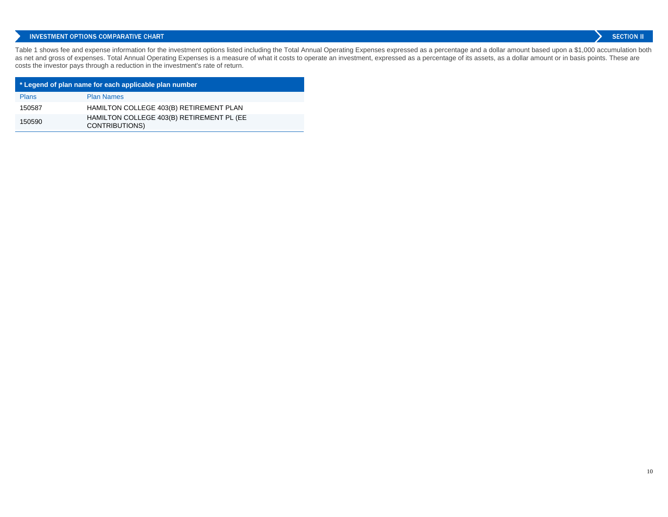Table 1 shows fee and expense information for the investment options listed including the Total Annual Operating Expenses expressed as a percentage and a dollar amount based upon a \$1,000 accumulation both as net and gross of expenses. Total Annual Operating Expenses is a measure of what it costs to operate an investment, expressed as a percentage of its assets, as a dollar amount or in basis points. These are costs the investor pays through a reduction in the investment's rate of return.

| * Legend of plan name for each applicable plan number |                                                                    |  |  |  |  |  |
|-------------------------------------------------------|--------------------------------------------------------------------|--|--|--|--|--|
| <b>Plans</b>                                          | <b>Plan Names</b>                                                  |  |  |  |  |  |
| 150587                                                | HAMILTON COLLEGE 403(B) RETIREMENT PLAN                            |  |  |  |  |  |
| 150590                                                | HAMILTON COLLEGE 403(B) RETIREMENT PL (EE<br><b>CONTRIBUTIONS)</b> |  |  |  |  |  |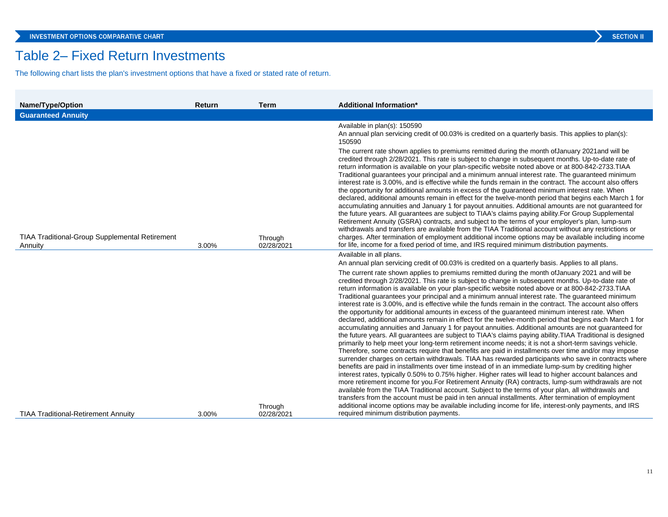## Table 2– Fixed Return Investments

The following chart lists the plan's investment options that have a fixed or stated rate of return.

| <b>Name/Type/Option</b>                                   | Return | <b>Term</b>           | <b>Additional Information*</b>                                                                                                                                                                                                                                                                                                                                                                                                                                                                                                                                                                                                                                                                                                                                                                                                                                                                                                                                                                                                                                                                                                                                                                                                                                                                                                                                                                                                                                                                                                                                                                                                                                                                                                                                                                                                                                                                                                           |
|-----------------------------------------------------------|--------|-----------------------|------------------------------------------------------------------------------------------------------------------------------------------------------------------------------------------------------------------------------------------------------------------------------------------------------------------------------------------------------------------------------------------------------------------------------------------------------------------------------------------------------------------------------------------------------------------------------------------------------------------------------------------------------------------------------------------------------------------------------------------------------------------------------------------------------------------------------------------------------------------------------------------------------------------------------------------------------------------------------------------------------------------------------------------------------------------------------------------------------------------------------------------------------------------------------------------------------------------------------------------------------------------------------------------------------------------------------------------------------------------------------------------------------------------------------------------------------------------------------------------------------------------------------------------------------------------------------------------------------------------------------------------------------------------------------------------------------------------------------------------------------------------------------------------------------------------------------------------------------------------------------------------------------------------------------------------|
| <b>Guaranteed Annuity</b>                                 |        |                       |                                                                                                                                                                                                                                                                                                                                                                                                                                                                                                                                                                                                                                                                                                                                                                                                                                                                                                                                                                                                                                                                                                                                                                                                                                                                                                                                                                                                                                                                                                                                                                                                                                                                                                                                                                                                                                                                                                                                          |
| TIAA Traditional-Group Supplemental Retirement<br>Annuity | 3.00%  | Through<br>02/28/2021 | Available in plan(s): 150590<br>An annual plan servicing credit of 00.03% is credited on a quarterly basis. This applies to plan(s):<br>150590<br>The current rate shown applies to premiums remitted during the month of January 2021 and will be<br>credited through 2/28/2021. This rate is subject to change in subsequent months. Up-to-date rate of<br>return information is available on your plan-specific website noted above or at 800-842-2733. TIAA<br>Traditional guarantees your principal and a minimum annual interest rate. The guaranteed minimum<br>interest rate is 3.00%, and is effective while the funds remain in the contract. The account also offers<br>the opportunity for additional amounts in excess of the guaranteed minimum interest rate. When<br>declared, additional amounts remain in effect for the twelve-month period that begins each March 1 for<br>accumulating annuities and January 1 for payout annuities. Additional amounts are not guaranteed for<br>the future years. All guarantees are subject to TIAA's claims paying ability. For Group Supplemental<br>Retirement Annuity (GSRA) contracts, and subject to the terms of your employer's plan, lump-sum<br>withdrawals and transfers are available from the TIAA Traditional account without any restrictions or<br>charges. After termination of employment additional income options may be available including income<br>for life, income for a fixed period of time, and IRS required minimum distribution payments.                                                                                                                                                                                                                                                                                                                                                                                                          |
|                                                           |        |                       | Available in all plans.                                                                                                                                                                                                                                                                                                                                                                                                                                                                                                                                                                                                                                                                                                                                                                                                                                                                                                                                                                                                                                                                                                                                                                                                                                                                                                                                                                                                                                                                                                                                                                                                                                                                                                                                                                                                                                                                                                                  |
|                                                           |        |                       | An annual plan servicing credit of 00.03% is credited on a quarterly basis. Applies to all plans.                                                                                                                                                                                                                                                                                                                                                                                                                                                                                                                                                                                                                                                                                                                                                                                                                                                                                                                                                                                                                                                                                                                                                                                                                                                                                                                                                                                                                                                                                                                                                                                                                                                                                                                                                                                                                                        |
|                                                           |        |                       | The current rate shown applies to premiums remitted during the month of January 2021 and will be<br>credited through 2/28/2021. This rate is subject to change in subsequent months. Up-to-date rate of<br>return information is available on your plan-specific website noted above or at 800-842-2733. TIAA<br>Traditional guarantees your principal and a minimum annual interest rate. The guaranteed minimum<br>interest rate is 3.00%, and is effective while the funds remain in the contract. The account also offers<br>the opportunity for additional amounts in excess of the guaranteed minimum interest rate. When<br>declared, additional amounts remain in effect for the twelve-month period that begins each March 1 for<br>accumulating annuities and January 1 for payout annuities. Additional amounts are not guaranteed for<br>the future years. All guarantees are subject to TIAA's claims paying ability. TIAA Traditional is designed<br>primarily to help meet your long-term retirement income needs; it is not a short-term savings vehicle.<br>Therefore, some contracts require that benefits are paid in installments over time and/or may impose<br>surrender charges on certain withdrawals. TIAA has rewarded participants who save in contracts where<br>benefits are paid in installments over time instead of in an immediate lump-sum by crediting higher<br>interest rates, typically 0.50% to 0.75% higher. Higher rates will lead to higher account balances and<br>more retirement income for you. For Retirement Annuity (RA) contracts, lump-sum withdrawals are not<br>available from the TIAA Traditional account. Subject to the terms of your plan, all withdrawals and<br>transfers from the account must be paid in ten annual installments. After termination of employment<br>additional income options may be available including income for life, interest-only payments, and IRS |
| <b>TIAA Traditional-Retirement Annuity</b>                | 3.00%  | Through<br>02/28/2021 | required minimum distribution payments.                                                                                                                                                                                                                                                                                                                                                                                                                                                                                                                                                                                                                                                                                                                                                                                                                                                                                                                                                                                                                                                                                                                                                                                                                                                                                                                                                                                                                                                                                                                                                                                                                                                                                                                                                                                                                                                                                                  |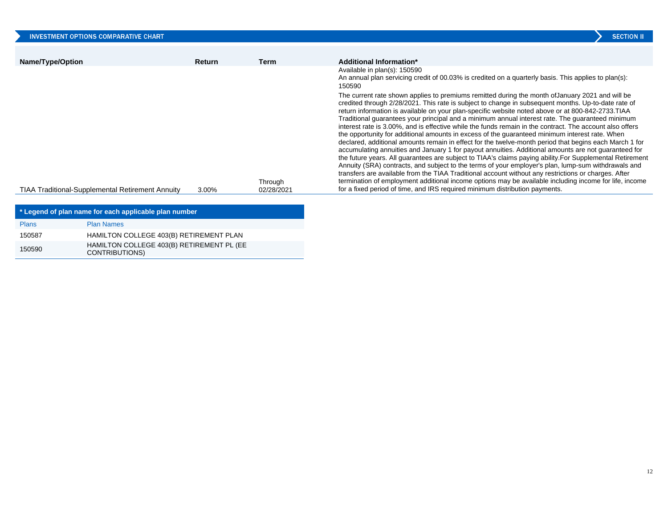| <b>INVESTMENT OPTIONS COMPARATIVE CHART</b>                            |                                                         |        |                       | <b>SECTION II</b>                                                                                                                                                                                                                                                                                                                                                                                                                                                                                                                                                                                                                                                                                                                                                                                                                                                                                                                                                                                                                                                                                                                                                                                                                                                                                                                                                      |
|------------------------------------------------------------------------|---------------------------------------------------------|--------|-----------------------|------------------------------------------------------------------------------------------------------------------------------------------------------------------------------------------------------------------------------------------------------------------------------------------------------------------------------------------------------------------------------------------------------------------------------------------------------------------------------------------------------------------------------------------------------------------------------------------------------------------------------------------------------------------------------------------------------------------------------------------------------------------------------------------------------------------------------------------------------------------------------------------------------------------------------------------------------------------------------------------------------------------------------------------------------------------------------------------------------------------------------------------------------------------------------------------------------------------------------------------------------------------------------------------------------------------------------------------------------------------------|
| Name/Type/Option                                                       |                                                         | Return | <b>Term</b>           | Additional Information*                                                                                                                                                                                                                                                                                                                                                                                                                                                                                                                                                                                                                                                                                                                                                                                                                                                                                                                                                                                                                                                                                                                                                                                                                                                                                                                                                |
|                                                                        |                                                         |        |                       | Available in plan(s): 150590<br>An annual plan servicing credit of 00.03% is credited on a quarterly basis. This applies to plan(s):<br>150590                                                                                                                                                                                                                                                                                                                                                                                                                                                                                                                                                                                                                                                                                                                                                                                                                                                                                                                                                                                                                                                                                                                                                                                                                         |
|                                                                        | <b>TIAA Traditional-Supplemental Retirement Annuity</b> | 3.00%  | Through<br>02/28/2021 | The current rate shown applies to premiums remitted during the month of January 2021 and will be<br>credited through 2/28/2021. This rate is subject to change in subsequent months. Up-to-date rate of<br>return information is available on your plan-specific website noted above or at 800-842-2733. TIAA<br>Traditional guarantees your principal and a minimum annual interest rate. The guaranteed minimum<br>interest rate is 3.00%, and is effective while the funds remain in the contract. The account also offers<br>the opportunity for additional amounts in excess of the guaranteed minimum interest rate. When<br>declared, additional amounts remain in effect for the twelve-month period that begins each March 1 for<br>accumulating annuities and January 1 for payout annuities. Additional amounts are not guaranteed for<br>the future years. All guarantees are subject to TIAA's claims paying ability. For Supplemental Retirement<br>Annuity (SRA) contracts, and subject to the terms of your employer's plan, lump-sum withdrawals and<br>transfers are available from the TIAA Traditional account without any restrictions or charges. After<br>termination of employment additional income options may be available including income for life, income<br>for a fixed period of time, and IRS required minimum distribution payments. |
|                                                                        | * Legend of plan name for each applicable plan number   |        |                       |                                                                                                                                                                                                                                                                                                                                                                                                                                                                                                                                                                                                                                                                                                                                                                                                                                                                                                                                                                                                                                                                                                                                                                                                                                                                                                                                                                        |
| <b>Plans</b>                                                           | <b>Plan Names</b>                                       |        |                       |                                                                                                                                                                                                                                                                                                                                                                                                                                                                                                                                                                                                                                                                                                                                                                                                                                                                                                                                                                                                                                                                                                                                                                                                                                                                                                                                                                        |
| 150587<br>HAMILTON COLLEGE 403(B) RETIREMENT PLAN                      |                                                         |        |                       |                                                                                                                                                                                                                                                                                                                                                                                                                                                                                                                                                                                                                                                                                                                                                                                                                                                                                                                                                                                                                                                                                                                                                                                                                                                                                                                                                                        |
| HAMILTON COLLEGE 403(B) RETIREMENT PL (EE<br>150590<br>OMITDIDI ITIONI |                                                         |        |                       |                                                                                                                                                                                                                                                                                                                                                                                                                                                                                                                                                                                                                                                                                                                                                                                                                                                                                                                                                                                                                                                                                                                                                                                                                                                                                                                                                                        |

CONTRIBUTIONS)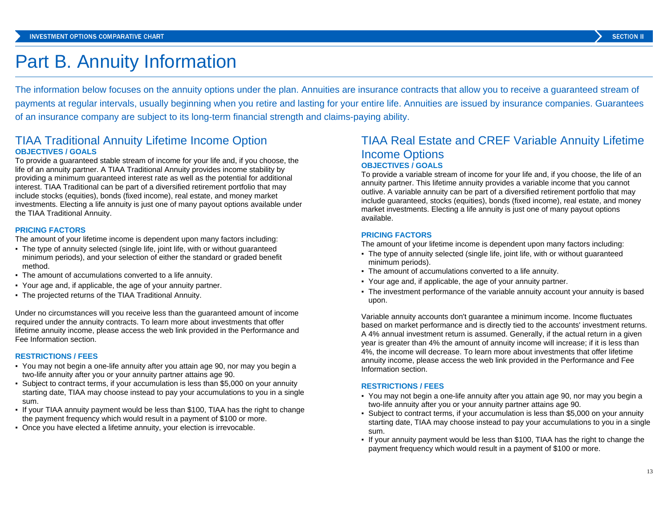## Part B. Annuity Information

The information below focuses on the annuity options under the plan. Annuities are insurance contracts that allow you to receive a guaranteed stream of payments at regular intervals, usually beginning when you retire and lasting for your entire life. Annuities are issued by insurance companies. Guarantees of an insurance company are subject to its long-term financial strength and claims-paying ability.

## TIAA Traditional Annuity Lifetime Income Option **OBJECTIVES / GOALS**

To provide a guaranteed stable stream of income for your life and, if you choose, the life of an annuity partner. A TIAA Traditional Annuity provides income stability by providing a minimum guaranteed interest rate as well as the potential for additional interest. TIAA Traditional can be part of a diversified retirement portfolio that may include stocks (equities), bonds (fixed income), real estate, and money market investments. Electing a life annuity is just one of many payout options available under the TIAA Traditional Annuity.

#### **PRICING FACTORS**

The amount of your lifetime income is dependent upon many factors including:

- The type of annuity selected (single life, joint life, with or without guaranteed minimum periods), and your selection of either the standard or graded benefit method.
- The amount of accumulations converted to a life annuity.
- Your age and, if applicable, the age of your annuity partner.
- The projected returns of the TIAA Traditional Annuity.

Under no circumstances will you receive less than the guaranteed amount of income required under the annuity contracts. To learn more about investments that offer lifetime annuity income, please access the web link provided in the Performance and Fee Information section.

#### **RESTRICTIONS / FEES**

- You may not begin a one-life annuity after you attain age 90, nor may you begin a two-life annuity after you or your annuity partner attains age 90.
- Subject to contract terms, if your accumulation is less than \$5,000 on your annuity starting date, TIAA may choose instead to pay your accumulations to you in a single sum.
- If your TIAA annuity payment would be less than \$100, TIAA has the right to change the payment frequency which would result in a payment of \$100 or more.
- Once you have elected a lifetime annuity, your election is irrevocable.

## TIAA Real Estate and CREF Variable Annuity Lifetime Income Options **OBJECTIVES / GOALS**

To provide a variable stream of income for your life and, if you choose, the life of an annuity partner. This lifetime annuity provides a variable income that you cannot outlive. A variable annuity can be part of a diversified retirement portfolio that may include guaranteed, stocks (equities), bonds (fixed income), real estate, and money market investments. Electing a life annuity is just one of many payout options available.

#### **PRICING FACTORS**

The amount of your lifetime income is dependent upon many factors including:

- The type of annuity selected (single life, joint life, with or without guaranteed minimum periods).
- The amount of accumulations converted to a life annuity.
- Your age and, if applicable, the age of your annuity partner.
- The investment performance of the variable annuity account your annuity is based upon.

Variable annuity accounts don't guarantee a minimum income. Income fluctuates based on market performance and is directly tied to the accounts' investment returns. A 4% annual investment return is assumed. Generally, if the actual return in a given year is greater than 4% the amount of annuity income will increase; if it is less than 4%, the income will decrease. To learn more about investments that offer lifetime annuity income, please access the web link provided in the Performance and Fee Information section.

#### **RESTRICTIONS / FEES**

- You may not begin a one-life annuity after you attain age 90, nor may you begin a two-life annuity after you or your annuity partner attains age 90.
- Subject to contract terms, if your accumulation is less than \$5,000 on your annuity starting date, TIAA may choose instead to pay your accumulations to you in a single sum.
- If your annuity payment would be less than \$100, TIAA has the right to change the payment frequency which would result in a payment of \$100 or more.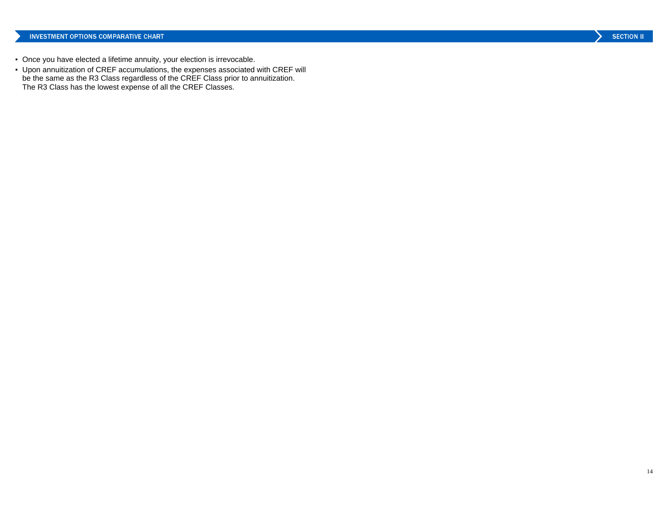- Once you have elected a lifetime annuity, your election is irrevocable.
- Upon annuitization of CREF accumulations, the expenses associated with CREF will be the same as the R3 Class regardless of the CREF Class prior to annuitization. The R3 Class has the lowest expense of all the CREF Classes.